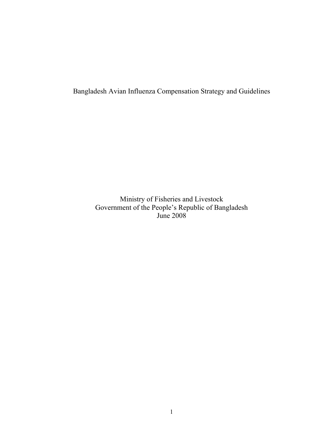Bangladesh Avian Influenza Compensation Strategy and Guidelines

Ministry of Fisheries and Livestock Government of the People's Republic of Bangladesh June 2008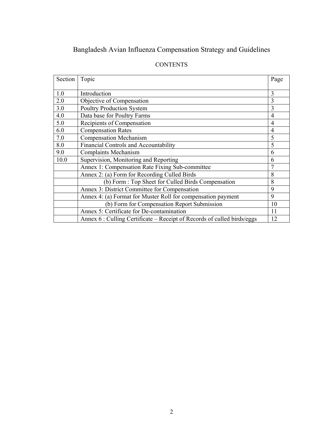# Bangladesh Avian Influenza Compensation Strategy and Guidelines

| Section | Topic                                                                  | Page |
|---------|------------------------------------------------------------------------|------|
|         |                                                                        |      |
| 1.0     | Introduction                                                           | 3    |
| 2.0     | Objective of Compensation                                              | 3    |
| 3.0     | <b>Poultry Production System</b>                                       | 3    |
| 4.0     | Data base for Poultry Farms                                            | 4    |
| 5.0     | Recipients of Compensation                                             | 4    |
| 6.0     | <b>Compensation Rates</b>                                              | 4    |
| 7.0     | <b>Compensation Mechanism</b>                                          | 5    |
| 8.0     | <b>Financial Controls and Accountability</b>                           | 5    |
| 9.0     | <b>Complaints Mechanism</b>                                            | 6    |
| 10.0    | Supervision, Monitoring and Reporting                                  | 6    |
|         | Annex 1: Compensation Rate Fixing Sub-committee                        |      |
|         | Annex 2: (a) Form for Recording Culled Birds                           | 8    |
|         | (b) Form : Top Sheet for Culled Birds Compensation                     | 8    |
|         | Annex 3: District Committee for Compensation                           | 9    |
|         | Annex 4: (a) Format for Muster Roll for compensation payment           | 9    |
|         | (b) Form for Compensation Report Submission                            | 10   |
|         | Annex 5: Certificate for De-contamination                              | 11   |
|         | Annex 6: Culling Certificate – Receipt of Records of culled birds/eggs | 12   |

# **CONTENTS**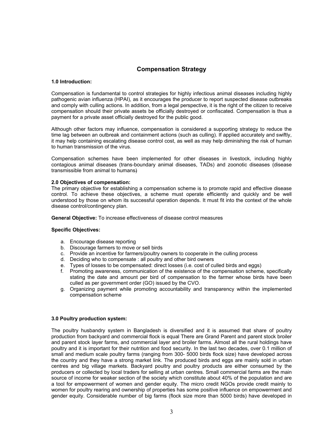### **Compensation Strategy**

#### **1.0 Introduction:**

Compensation is fundamental to control strategies for highly infectious animal diseases including highly pathogenic avian influenza (HPAI), as it encourages the producer to report suspected disease outbreaks and comply with culling actions. In addition, from a legal perspective, it is the right of the citizen to receive compensation should their private assets be officially destroyed or confiscated. Compensation is thus a payment for a private asset officially destroyed for the public good.

Although other factors may influence, compensation is considered a supporting strategy to reduce the time lag between an outbreak and containment actions (such as culling). If applied accurately and swiftly, it may help containing escalating disease control cost, as well as may help diminishing the risk of human to human transmission of the virus.

Compensation schemes have been implemented for other diseases in livestock, including highly contagious animal diseases (trans-boundary animal diseases, TADs) and zoonotic diseases (disease transmissible from animal to humans)

#### **2.0 Objectives of compensation:**

The primary objective for establishing a compensation scheme is to promote rapid and effective disease control. To achieve these objectives, a scheme must operate efficiently and quickly and be well understood by those on whom its successful operation depends. It must fit into the context of the whole disease control/contingency plan.

**General Objective:** To increase effectiveness of disease control measures

#### **Specific Objectives:**

- a. Encourage disease reporting
- b. Discourage farmers to move or sell birds
- c. Provide an incentive for farmers/poultry owners to cooperate in the culling process
- d. Deciding who to compensate : all poultry and other bird owners
- e. Types of losses to be compensated: direct losses (i.e. cost of culled birds and eggs)<br>f. Promoting awareness, communication of the existence of the compensation scheme
- f. Promoting awareness, communication of the existence of the compensation scheme, specifically stating the date and amount per bird of compensation to the farmer whose birds have been culled as per government order (GO) issued by the CVO.
- g. Organizing payment while promoting accountability and transparency within the implemented compensation scheme

#### **3.0 Poultry production system:**

The poultry husbandry system in Bangladesh is diversified and it is assumed that share of poultry production from backyard and commercial flock is equal There are Grand Parent and parent stock broiler and parent stock layer farms, and commercial layer and broiler farms. Almost all the rural holdings have poultry and it is important for their nutrition and food security. In the last two decades, over 0.1 million of small and medium scale poultry farms (ranging from 300- 5000 birds flock size) have developed across the country and they have a strong market link. The produced birds and eggs are mainly sold in urban centres and big village markets. Backyard poultry and poultry products are either consumed by the producers or collected by local traders for selling at urban centres. Small commercial farms are the main source of income for weaker section of the society which constitute about 40% of the population and are a tool for empowerment of women and gender equity. The micro credit NGOs provide credit mainly to women for poultry rearing and ownership of properties has some positive influence on empowerment and gender equity. Considerable number of big farms (flock size more than 5000 birds) have developed in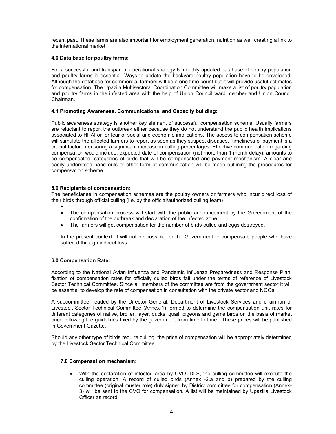recent past. These farms are also important for employment generation, nutrition as well creating a link to the international market.

#### **4.0 Data base for poultry farms:**

For a successful and transparent operational strategy 6 monthly updated database of poultry population and poultry farms is essential. Ways to update the backyard poultry population have to be developed. Although the database for commercial farmers will be a one time count but it will provide useful estimates for compensation. The Upazila Multisectoral Coordination Committee will make a list of poultry population and poultry farms in the infected area with the help of Union Council ward member and Union Council Chairman.

#### **4.1 Promoting Awareness, Communications, and Capacity building:**

Public awareness strategy is another key element of successful compensation scheme. Usually farmers are reluctant to report the outbreak either because they do not understand the public health implications associated to HPAI or for fear of social and economic implications. The access to compensation scheme will stimulate the affected farmers to report as soon as they suspect diseases. Timeliness of payment is a crucial factor in ensuring a significant increase in culling percentages. Effective communication regarding compensation would include: expected date of compensation (not more than 1 month delay), amounts to be compensated, categories of birds that will be compensated and payment mechanism. A clear and easily understood hand outs or other form of communication will be made outlining the procedures for compensation scheme.

### **5.0 Recipients of compensation:**

The beneficiaries in compensation schemes are the poultry owners or farmers who incur direct loss of their birds through official culling (i.e. by the official/authorized culling team)

- • The compensation process will start with the public announcement by the Government of the confirmation of the outbreak and declaration of the infected zone.
- The farmers will get compensation for the number of birds culled and eggs destroyed.

In the present context, it will not be possible for the Government to compensate people who have suffered through indirect loss.

#### **6.0 Compensation Rate:**

According to the National Avian Influenza and Pandemic Influenza Preparedness and Response Plan, fixation of compensation rates for officially culled birds fall under the terms of reference of Livestock Sector Technical Committee. Since all members of the committee are from the government sector it will be essential to develop the rate of compensation in consultation with the private sector and NGOs.

A subcommittee headed by the Director General, Department of Livestock Services and chairman of Livestock Sector Technical Committee (Annex-1) formed to determine the compensation unit rates for different categories of native, broiler, layer, ducks, quail, pigeons and game birds on the basis of market price following the guidelines fixed by the government from time to time. These prices will be published in Government Gazette.

Should any other type of birds require culling, the price of compensation will be appropriately determined by the Livestock Sector Technical Committee.

#### **7.0 Compensation mechanism:**

• With the declaration of infected area by CVO, DLS, the culling committee will execute the culling operation. A record of culled birds (Annex -2.a and b) prepared by the culling committee (original muster role) duly signed by District committee for compensation (Annex-3) will be sent to the CVO for compensation. A list will be maintained by Upazilla Livestock Officer as record.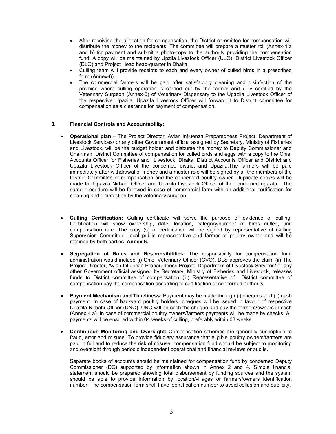- After receiving the allocation for compensation, the District committee for compensation will distribute the money to the recipients. The committee will prepare a muster roll (Annex-4.a and b) for payment and submit a photo-copy to the authority providing the compensation fund. A copy will be maintained by Upzila Livestock Officer (ULO), District Livestock Officer (DLO) and Project Head head-quarter in Dhaka.
- Culling team will provide receipts to each and every owner of culled birds in a prescribed form (Annex-6).
- The commercial farmers will be paid after satisfactory cleaning and disinfection of the premise where culling operation is carried out by the farmer and duly certified by the Veterinary Surgeon (Annex-5) of Veterinary Dispensary to the Upazila Livestock Officer of the respective Upazila. Upazila Livestock Officer will forward it to District committee for compensation as a clearance for payment of compensation.

#### **8. Financial Controls and Accountability:**

- **Operational plan** The Project Director, Avian Influenza Preparedness Project, Department of Livestock Services/ or any other Government official assigned by Secretary, Ministry of Fisheries and Livestock, will be the budget holder and disburse the money to Deputy Commissioner and Chairman, District Committee of compensation for culled birds and eggs with a copy to the Chief Accounts Officer for Fisheries and Livestock, Dhaka, District Accounts Officer and District and Upazila Livestock Officer of the concerned district and Upazila.The farmers will be paid immediately after withdrawal of money and a muster role will be signed by all the members of the District Committee of compensation and the concerned poultry owner. Duplicate copies will be made for Upazila Nirbahi Officer and Upazila Livestock Officer of the concerned upazila. The same procedure will be followed in case of commercial farm with an additional certification for cleaning and disinfection by the veterinary surgeon.
- **Culling Certification:** Culling certificate will serve the purpose of evidence of culling. Certification will show ownership, date, location, category/number of birds culled, unit compensation rate. The copy (s) of certification will be signed by representative of Culling Supervision Committee, local public representative and farmer or poultry owner and will be retained by both parties. **Annex 6.**
- **Segregation of Roles and Responsibilities:** The responsibility for compensation fund administration would include (i) Chief Veterinary Officer (CVO), DLS approves the claim (ii) The Project Director, Avian Influenza Preparedness Project, Department of Livestock Services/ or any other Government official assigned by Secretary, Ministry of Fisheries and Livestock, releases funds to District committee of compensation (iii) Representative of District committee of compensation pay the compensation according to certification of concerned authority.
- **Payment Mechanism and Timeliness:** Payment may be made through (i) cheques and (ii) cash payment. In case of backyard poultry holders, cheques will be issued in favour of respective Upazila Nirbahi Officer (UNO). UNO will en-cash the cheque and pay the farmers/owners in cash (Annex 4.a). In case of commercial poultry owners/farmers payments will be made by checks. All payments will be ensured within 04 weeks of culling, preferably within 03 weeks.
- **Continuous Monitoring and Oversight:** Compensation schemes are generally susceptible to fraud, error and misuse. To provide fiduciary assurance that eligible poultry owners/farmers are paid in full and to reduce the risk of misuse, compensation fund should be subject to monitoring and oversight through periodic independent operational and financial reviews or audits.

Separate books of accounts should be maintained for compensation fund by concerned Deputy Commissioner (DC) supported by information shown in Annex 2 and 4. Simple financial statement should be prepared showing total disbursement by funding sources and the system should be able to provide information by location/villages or farmers/owners identification number. The compensation form shall have identification number to avoid collusion and duplicity.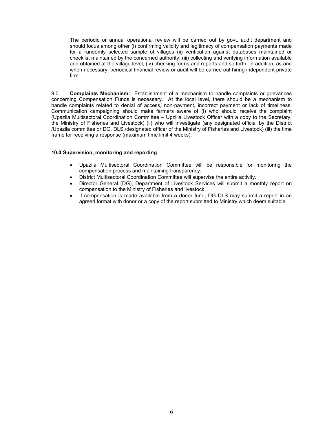The periodic or annual operational review will be carried out by govt. audit department and should focus among other (i) confirming validity and legitimacy of compensation payments made for a randomly selected sample of villages (ii) verification against databases maintained or checklist maintained by the concerned authority, (iii) collecting and verifying information available and obtained at the village level, (iv) checking forms and reports and so forth. In addition, as and when necessary, periodical financial review or audit will be carried out hiring independent private firm.

9.0 **Complaints Mechanism:** Establishment of a mechanism to handle complaints or grievances concerning Compensation Funds is necessary. At the local level, there should be a mechanism to handle complaints related to denial of access, non-payment, incorrect payment or lack of timeliness. Communication campaigning should make farmers aware of (i) who should receive the complaint (Upazila Multisectoral Coordination Committee – Upzilla Livestock Officer with a copy to the Secretary, the Ministry of Fisheries and Livestock) (ii) who will investigate (any designated official by the District /Upazila committee or DG, DLS /designated officer of the Ministry of Fisheries and Livestock) (iii) the time frame for receiving a response (maximum time limit 4 weeks).

#### **10.0 Supervision, monitoring and reporting**

- Upazila Multisectoral Coordination Committee will be responsible for monitoring the compensation process and maintaining transparency.
- District Multisectoral Coordination Committee will supervise the entire activity.
- Director General (DG), Department of Livestock Services will submit a monthly report on compensation to the Ministry of Fisheries and livestock.
- If compensation is made available from a donor fund, DG DLS may submit a report in an agreed format with donor or a copy of the report submitted to Ministry which deem suitable.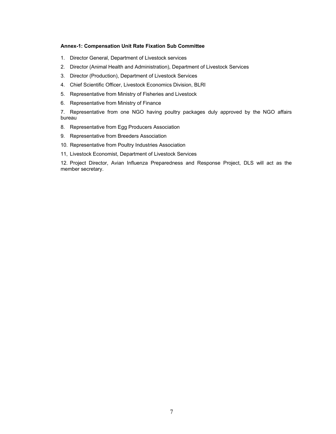#### **Annex-1: Compensation Unit Rate Fixation Sub Committee**

- 1. Director General, Department of Livestock services
- 2. Director (Animal Health and Administration), Department of Livestock Services
- 3. Director (Production), Department of Livestock Services
- 4. Chief Scientific Officer, Livestock Economics Division, BLRI
- 5. Representative from Ministry of Fisheries and Livestock
- 6. Representative from Ministry of Finance

7. Representative from one NGO having poultry packages duly approved by the NGO affairs bureau

- 8. Representative from Egg Producers Association
- 9. Representative from Breeders Association
- 10. Representative from Poultry Industries Association
- 11, Livestock Economist, Department of Livestock Services

12. Project Director, Avian Influenza Preparedness and Response Project, DLS will act as the member secretary.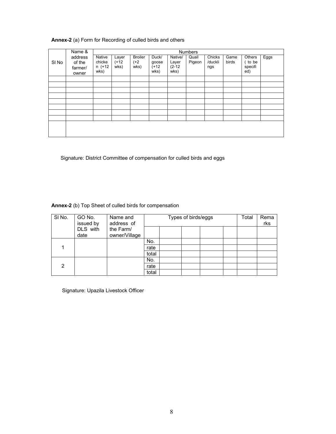### **Annex-2** (a) Form for Recording of culled birds and others

|                  | Name &                                | <b>Numbers</b>                     |                          |                                  |                                   |                                      |                 |                          |               |                                     |      |
|------------------|---------------------------------------|------------------------------------|--------------------------|----------------------------------|-----------------------------------|--------------------------------------|-----------------|--------------------------|---------------|-------------------------------------|------|
| SI <sub>No</sub> | address<br>of the<br>farmer/<br>owner | Native<br>chicke<br>n (+12<br>wks) | Layer<br>$(+12)$<br>wks) | <b>Broiler</b><br>$(+2)$<br>wks) | Duck/<br>goose<br>$(+12)$<br>wks) | Native/<br>Layer<br>$(2-12)$<br>wks) | Quail<br>Pigeon | Chicks<br>/duckli<br>ngs | Game<br>birds | Others<br>( to be<br>specifi<br>ed) | Eggs |
|                  |                                       |                                    |                          |                                  |                                   |                                      |                 |                          |               |                                     |      |
|                  |                                       |                                    |                          |                                  |                                   |                                      |                 |                          |               |                                     |      |
|                  |                                       |                                    |                          |                                  |                                   |                                      |                 |                          |               |                                     |      |
|                  |                                       |                                    |                          |                                  |                                   |                                      |                 |                          |               |                                     |      |
|                  |                                       |                                    |                          |                                  |                                   |                                      |                 |                          |               |                                     |      |
|                  |                                       |                                    |                          |                                  |                                   |                                      |                 |                          |               |                                     |      |
|                  |                                       |                                    |                          |                                  |                                   |                                      |                 |                          |               |                                     |      |
|                  |                                       |                                    |                          |                                  |                                   |                                      |                 |                          |               |                                     |      |
|                  |                                       |                                    |                          |                                  |                                   |                                      |                 |                          |               |                                     |      |

Signature: District Committee of compensation for culled birds and eggs

**Annex-2** (b) Top Sheet of culled birds for compensation

| SINO. | GO No.<br>issued by | Name and<br>address of     | Types of birds/eggs |  |  |  |  | Total | Rema<br>rks |
|-------|---------------------|----------------------------|---------------------|--|--|--|--|-------|-------------|
|       | DLS with<br>date    | the Farm/<br>owner/Village |                     |  |  |  |  |       |             |
|       |                     |                            | No.                 |  |  |  |  |       |             |
|       |                     |                            | rate                |  |  |  |  |       |             |
|       |                     |                            | total               |  |  |  |  |       |             |
|       |                     |                            | No.                 |  |  |  |  |       |             |
| 2     |                     |                            | rate                |  |  |  |  |       |             |
|       |                     |                            | total               |  |  |  |  |       |             |

Signature: Upazila Livestock Officer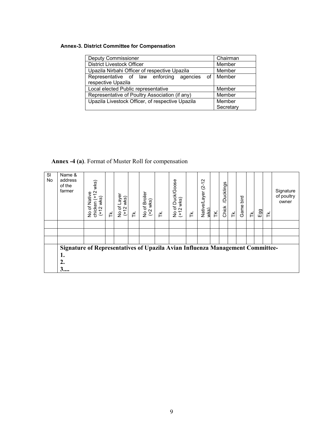### **Annex-3. District Committee for Compensation**

| Deputy Commissioner                              | Chairman    |  |  |
|--------------------------------------------------|-------------|--|--|
| <b>District Livestock Officer</b>                | Member      |  |  |
| Upazila Nirbahi Officer of respective Upazila    | Member      |  |  |
| Representative of law enforcing agencies         | of I Member |  |  |
| respective Upazila                               |             |  |  |
| Local elected Public representative              | Member      |  |  |
| Representative of Poultry Association (if any)   | Member      |  |  |
| Upazila Livestock Officer, of respective Upazila | Member      |  |  |
|                                                  | Secretary   |  |  |

# **Annex -4 (a)**. Format of Muster Roll for compensation

| SI<br><b>No</b> | Name &<br>address<br>of the<br>farmer                                                                 | wks)<br>$\overline{2}$<br>Native<br>£<br>$w$ ks $)$<br>chicken<br>(+12 wk<br>Ⴆ<br>$\frac{1}{2}$ | ¥. | Layer<br>wks)<br>No of I<br>(+12 \ | ΗÝ. | No of Broiler<br>$w$ ks $)$<br>(1) | 芒 | No of Duck/Goose<br>(+12 wks) | ≚ | $(2 - 12)$<br>Native/Layer<br>wks) | ¥ | Ducklings<br>Chick | $\breve{\mathsf{F}}$ | bird<br>Game | 퐅 | Eg | 芒 | Signature<br>of poultry<br>owner |
|-----------------|-------------------------------------------------------------------------------------------------------|-------------------------------------------------------------------------------------------------|----|------------------------------------|-----|------------------------------------|---|-------------------------------|---|------------------------------------|---|--------------------|----------------------|--------------|---|----|---|----------------------------------|
|                 |                                                                                                       |                                                                                                 |    |                                    |     |                                    |   |                               |   |                                    |   |                    |                      |              |   |    |   |                                  |
|                 |                                                                                                       |                                                                                                 |    |                                    |     |                                    |   |                               |   |                                    |   |                    |                      |              |   |    |   |                                  |
|                 |                                                                                                       |                                                                                                 |    |                                    |     |                                    |   |                               |   |                                    |   |                    |                      |              |   |    |   |                                  |
|                 | <b>Signature of Representatives of Upazila Avian Influenza Management Committee-</b><br>ı.<br>2.<br>3 |                                                                                                 |    |                                    |     |                                    |   |                               |   |                                    |   |                    |                      |              |   |    |   |                                  |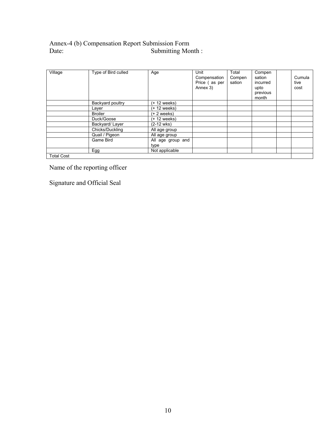## Annex-4 (b) Compensation Report Submission Form Date: Submitting Month :

| Village           | Type of Bird culled | Age                       | Unit<br>Compensation<br>Price (as per<br>Annex 3) | Total<br>Compen<br>sation | Compen<br>sation<br>incurred<br>upto<br>previous<br>month | Cumula<br>tive<br>cost |
|-------------------|---------------------|---------------------------|---------------------------------------------------|---------------------------|-----------------------------------------------------------|------------------------|
|                   | Backyard poultry    | (+ 12 weeks)              |                                                   |                           |                                                           |                        |
|                   | Layer               | (+ 12 weeks)              |                                                   |                           |                                                           |                        |
|                   | <b>Broiler</b>      | (+ 2 weeks)               |                                                   |                           |                                                           |                        |
|                   | Duck/Goose          | (+ 12 weeks)              |                                                   |                           |                                                           |                        |
|                   | Backyard/Layer      | (2-12 wks)                |                                                   |                           |                                                           |                        |
|                   | Chicks/Duckling     | All age group             |                                                   |                           |                                                           |                        |
|                   | Quail / Pigeon      | All age group             |                                                   |                           |                                                           |                        |
|                   | Game Bird           | All age group and<br>type |                                                   |                           |                                                           |                        |
|                   | Egg                 | Not applicable            |                                                   |                           |                                                           |                        |
| <b>Total Cost</b> |                     |                           |                                                   |                           |                                                           |                        |

Name of the reporting officer

Signature and Official Seal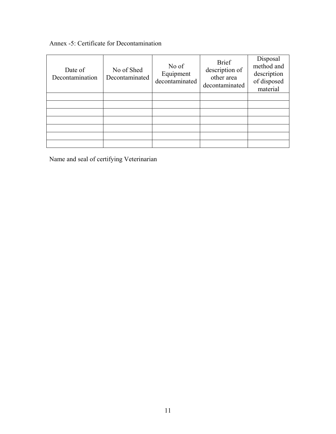# Annex -5: Certificate for Decontamination

| Date of<br>Decontamination | No of Shed<br>Decontaminated | No of<br>Equipment<br>decontaminated | <b>Brief</b><br>description of<br>other area<br>decontaminated | Disposal<br>method and<br>description<br>of disposed<br>material |
|----------------------------|------------------------------|--------------------------------------|----------------------------------------------------------------|------------------------------------------------------------------|
|                            |                              |                                      |                                                                |                                                                  |
|                            |                              |                                      |                                                                |                                                                  |
|                            |                              |                                      |                                                                |                                                                  |
|                            |                              |                                      |                                                                |                                                                  |
|                            |                              |                                      |                                                                |                                                                  |
|                            |                              |                                      |                                                                |                                                                  |
|                            |                              |                                      |                                                                |                                                                  |

Name and seal of certifying Veterinarian